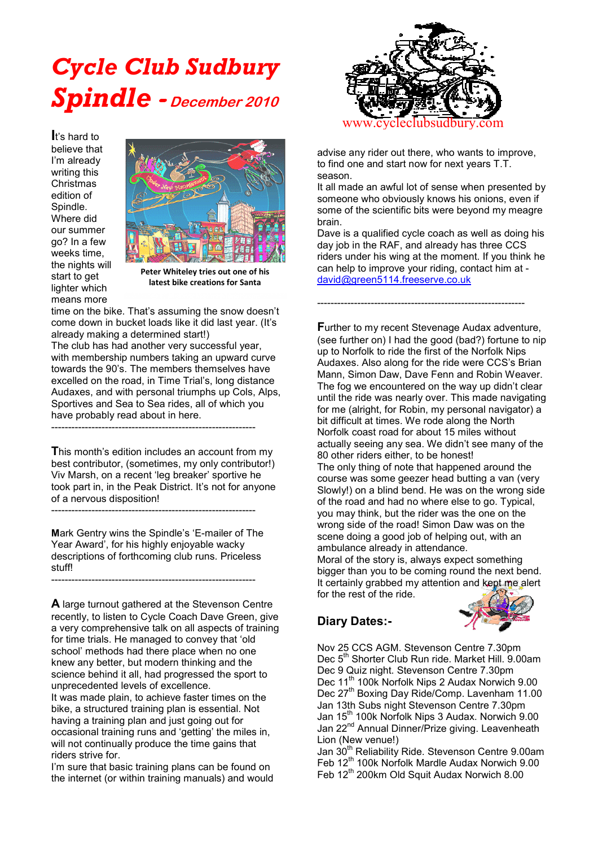# *Cycle Club Sudbury Spindle***- December 2010**

**I**t's hard to believe that I'm already writing this Christmas edition of Spindle. Where did our summer go? In a few weeks time, the nights will start to get lighter which means more



**Peter Whiteley tries out one of his latest bike creations for Santa**

time on the bike. That's assuming the snow doesn't come down in bucket loads like it did last year. (It's already making a determined start!)

The club has had another very successful year, with membership numbers taking an upward curve towards the 90's. The members themselves have excelled on the road, in Time Trial's, long distance Audaxes, and with personal triumphs up Cols, Alps, Sportives and Sea to Sea rides, all of which you have probably read about in here.

-------------------------------------------------------------

**T**his month's edition includes an account from my best contributor, (sometimes, my only contributor!) Viv Marsh, on a recent 'leg breaker' sportive he took part in, in the Peak District. It's not for anyone of a nervous disposition!

**M**ark Gentry wins the Spindle's 'E-mailer of The Year Award', for his highly enjoyable wacky descriptions of forthcoming club runs. Priceless stuff! -------------------------------------------------------------

-------------------------------------------------------------

**A** large turnout gathered at the Stevenson Centre recently, to listen to Cycle Coach Dave Green, give a very comprehensive talk on all aspects of training for time trials. He managed to convey that 'old school' methods had there place when no one knew any better, but modern thinking and the science behind it all, had progressed the sport to unprecedented levels of excellence.

It was made plain, to achieve faster times on the bike, a structured training plan is essential. Not having a training plan and just going out for occasional training runs and 'getting' the miles in, will not continually produce the time gains that riders strive for.

I'm sure that basic training plans can be found on the internet (or within training manuals) and would



advise any rider out there, who wants to improve, to find one and start now for next years T.T. season.

It all made an awful lot of sense when presented by someone who obviously knows his onions, even if some of the scientific bits were beyond my meagre brain.

Dave is a qualified cycle coach as well as doing his day job in the RAF, and already has three CCS riders under his wing at the moment. If you think he can help to improve your riding, contact him at [david@green5114.freeserve.co.uk](mailto:david@green5114.freeserve.co.uk)

--------------------------------------------------------------

**F**urther to my recent Stevenage Audax adventure, (see further on) I had the good (bad?) fortune to nip up to Norfolk to ride the first of the Norfolk Nips Audaxes. Also along for the ride were CCS's Brian Mann, Simon Daw, Dave Fenn and Robin Weaver. The fog we encountered on the way up didn't clear until the ride was nearly over. This made navigating for me (alright, for Robin, my personal navigator) a bit difficult at times. We rode along the North Norfolk coast road for about 15 miles without actually seeing any sea. We didn't see many of the 80 other riders either, to be honest! The only thing of note that happened around the course was some geezer head butting a van (very Slowly!) on a blind bend. He was on the wrong side of the road and had no where else to go. Typical, you may think, but the rider was the one on the wrong side of the road! Simon Daw was on the scene doing a good job of helping out, with an ambulance already in attendance.

Moral of the story is, always expect something bigger than you to be coming round the next bend. It certainly grabbed my attention and kept me alert for the rest of the ride.

## **Diary Dates:-**



Nov 25 CCS AGM. Stevenson Centre 7.30pm Dec 5<sup>th</sup> Shorter Club Run ride. Market Hill. 9.00am Dec 9 Quiz night. Stevenson Centre 7.30pm Dec 11<sup>th</sup> 100k Norfolk Nips 2 Audax Norwich 9.00 Dec 27<sup>th</sup> Boxing Day Ride/Comp. Lavenham 11.00 Jan 13th Subs night Stevenson Centre 7.30pm Jan 15<sup>th</sup> 100k Norfolk Nips 3 Audax. Norwich 9.00 Jan 22<sup>nd</sup> Annual Dinner/Prize giving. Leavenheath Lion (New venue!)

Jan 30<sup>th</sup> Reliability Ride. Stevenson Centre 9.00am Feb  $12^{th}$  100k Norfolk Mardle Audax Norwich 9.00 Feb 12<sup>th</sup> 200km Old Squit Audax Norwich 8.00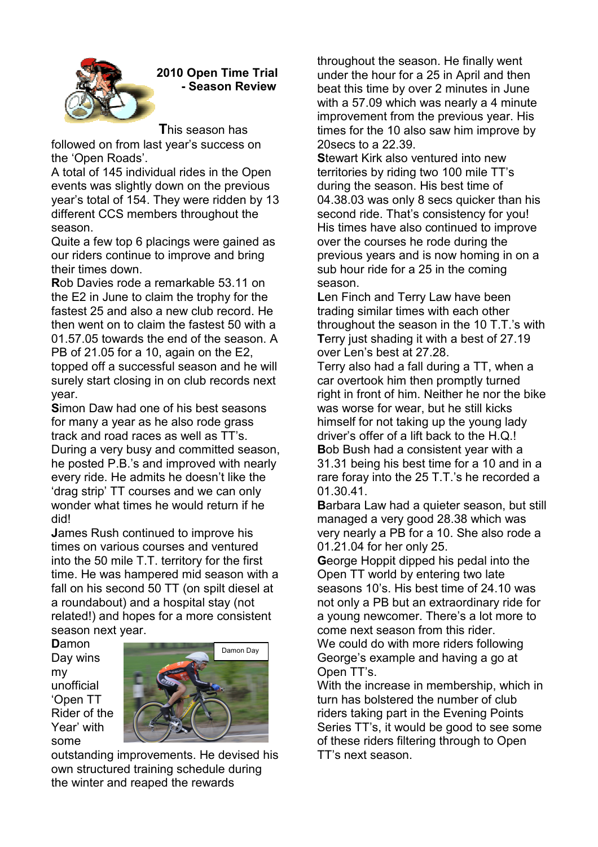

**2010 Open Time Trial - Season Review** 

**T**his season has

followed on from last year's success on the 'Open Roads'.

A total of 145 individual rides in the Open events was slightly down on the previous year's total of 154. They were ridden by 13 different CCS members throughout the season.

Quite a few top 6 placings were gained as our riders continue to improve and bring their times down.

**R**ob Davies rode a remarkable 53.11 on the E2 in June to claim the trophy for the fastest 25 and also a new club record. He then went on to claim the fastest 50 with a 01.57.05 towards the end of the season. A PB of 21.05 for a 10, again on the E2, topped off a successful season and he will surely start closing in on club records next year.

**S**imon Daw had one of his best seasons for many a year as he also rode grass track and road races as well as TT's. During a very busy and committed season, he posted P.B.'s and improved with nearly every ride. He admits he doesn't like the 'drag strip' TT courses and we can only wonder what times he would return if he did!

**J**ames Rush continued to improve his times on various courses and ventured into the 50 mile T.T. territory for the first time. He was hampered mid season with a fall on his second 50 TT (on spilt diesel at a roundabout) and a hospital stay (not related!) and hopes for a more consistent season next year.

**D**amon Day wins my unofficial 'Open TT Rider of the Year' with some



outstanding improvements. He devised his own structured training schedule during the winter and reaped the rewards

throughout the season. He finally went under the hour for a 25 in April and then beat this time by over 2 minutes in June with a 57.09 which was nearly a 4 minute improvement from the previous year. His times for the 10 also saw him improve by 20secs to a 22.39.

**S**tewart Kirk also ventured into new territories by riding two 100 mile TT's during the season. His best time of 04.38.03 was only 8 secs quicker than his second ride. That's consistency for you! His times have also continued to improve over the courses he rode during the previous years and is now homing in on a sub hour ride for a 25 in the coming season.

**L**en Finch and Terry Law have been trading similar times with each other throughout the season in the 10 T.T.'s with **T**erry just shading it with a best of 27.19 over Len's best at 27.28.

Terry also had a fall during a TT, when a car overtook him then promptly turned right in front of him. Neither he nor the bike was worse for wear, but he still kicks himself for not taking up the young lady driver's offer of a lift back to the H.Q.! **B**ob Bush had a consistent year with a 31.31 being his best time for a 10 and in a rare foray into the 25 T.T.'s he recorded a 01.30.41.

**B**arbara Law had a quieter season, but still managed a very good 28.38 which was very nearly a PB for a 10. She also rode a 01.21.04 for her only 25.

**G**eorge Hoppit dipped his pedal into the Open TT world by entering two late seasons 10's. His best time of 24.10 was not only a PB but an extraordinary ride for a young newcomer. There's a lot more to come next season from this rider. We could do with more riders following George's example and having a go at Open TT's.

With the increase in membership, which in turn has bolstered the number of club riders taking part in the Evening Points Series TT's, it would be good to see some of these riders filtering through to Open TT's next season.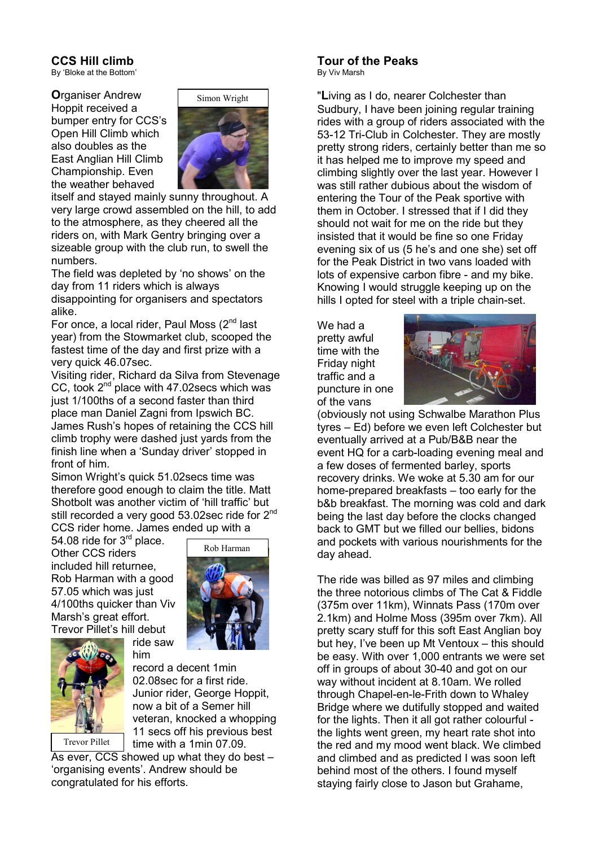#### **CCS Hill climb**

By 'Bloke at the Bottom'

**O**rganiser Andrew Hoppit received a bumper entry for CCS's Open Hill Climb which also doubles as the East Anglian Hill Climb Championship. Even the weather behaved



itself and stayed mainly sunny throughout. A very large crowd assembled on the hill, to add to the atmosphere, as they cheered all the riders on, with Mark Gentry bringing over a sizeable group with the club run, to swell the numbers.

The field was depleted by 'no shows' on the day from 11 riders which is always disappointing for organisers and spectators alike.

For once, a local rider, Paul Moss  $(2^{nd}$  last year) from the Stowmarket club, scooped the fastest time of the day and first prize with a very quick 46.07sec.

Visiting rider, Richard da Silva from Stevenage CC, took  $2^{nd}$  place with 47.02 secs which was just 1/100ths of a second faster than third place man Daniel Zagni from Ipswich BC. James Rush's hopes of retaining the CCS hill climb trophy were dashed just yards from the finish line when a 'Sunday driver' stopped in front of him.

Simon Wright's quick 51.02secs time was therefore good enough to claim the title. Matt Shotbolt was another victim of 'hill traffic' but still recorded a very good 53.02sec ride for 2<sup>nd</sup> CCS rider home. James ended up with a

54.08 ride for  $3<sup>rd</sup>$  place. Other CCS riders included hill returnee, Rob Harman with a good 57.05 which was just 4/100ths quicker than Viv Marsh's great effort. Trevor Pillet's hill debut





record a decent 1min 02.08sec for a first ride. Junior rider, George Hoppit, now a bit of a Semer hill veteran, knocked a whopping 11 secs off his previous best time with a 1min 07.09.

As ever, CCS showed up what they do best – 'organising events'. Andrew should be congratulated for his efforts.

ride saw him

# **Tour of the Peaks**

By Viv Marsh

"**L**iving as I do, nearer Colchester than Sudbury, I have been joining regular training rides with a group of riders associated with the 53-12 Tri-Club in Colchester. They are mostly pretty strong riders, certainly better than me so it has helped me to improve my speed and climbing slightly over the last year. However I was still rather dubious about the wisdom of entering the Tour of the Peak sportive with them in October. I stressed that if I did they should not wait for me on the ride but they insisted that it would be fine so one Friday evening six of us (5 he's and one she) set off for the Peak District in two vans loaded with lots of expensive carbon fibre - and my bike. Knowing I would struggle keeping up on the hills I opted for steel with a triple chain-set.

We had a pretty awful time with the Friday night traffic and a puncture in one of the vans



(obviously not using Schwalbe Marathon Plus tyres – Ed) before we even left Colchester but eventually arrived at a Pub/B&B near the event HQ for a carb-loading evening meal and a few doses of fermented barley, sports recovery drinks. We woke at 5.30 am for our home-prepared breakfasts – too early for the b&b breakfast. The morning was cold and dark being the last day before the clocks changed back to GMT but we filled our bellies, bidons and pockets with various nourishments for the day ahead.

The ride was billed as 97 miles and climbing the three notorious climbs of The Cat & Fiddle (375m over 11km), Winnats Pass (170m over 2.1km) and Holme Moss (395m over 7km). All pretty scary stuff for this soft East Anglian boy but hey, I've been up Mt Ventoux – this should be easy. With over 1,000 entrants we were set off in groups of about 30-40 and got on our way without incident at 8.10am. We rolled through Chapel-en-le-Frith down to Whaley Bridge where we dutifully stopped and waited for the lights. Then it all got rather colourful the lights went green, my heart rate shot into the red and my mood went black. We climbed and climbed and as predicted I was soon left behind most of the others. I found myself staying fairly close to Jason but Grahame,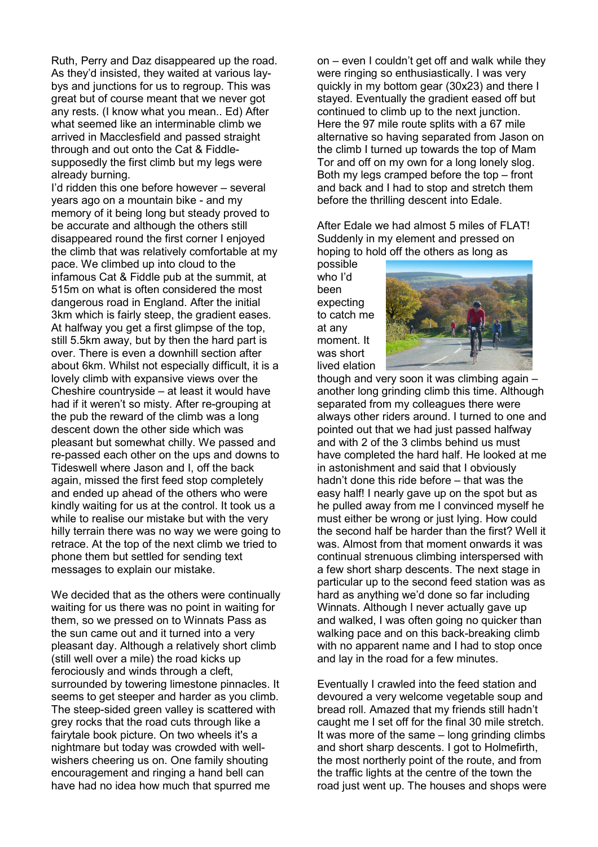Ruth, Perry and Daz disappeared up the road. As they'd insisted, they waited at various laybys and junctions for us to regroup. This was great but of course meant that we never got any rests. (I know what you mean.. Ed) After what seemed like an interminable climb we arrived in Macclesfield and passed straight through and out onto the Cat & Fiddlesupposedly the first climb but my legs were already burning.

I'd ridden this one before however – several years ago on a mountain bike - and my memory of it being long but steady proved to be accurate and although the others still disappeared round the first corner I enjoyed the climb that was relatively comfortable at my pace. We climbed up into cloud to the infamous Cat & Fiddle pub at the summit, at 515m on what is often considered the most dangerous road in England. After the initial 3km which is fairly steep, the gradient eases. At halfway you get a first glimpse of the top, still 5.5km away, but by then the hard part is over. There is even a downhill section after about 6km. Whilst not especially difficult, it is a lovely climb with expansive views over the Cheshire countryside – at least it would have had if it weren't so misty. After re-grouping at the pub the reward of the climb was a long descent down the other side which was pleasant but somewhat chilly. We passed and re-passed each other on the ups and downs to Tideswell where Jason and I, off the back again, missed the first feed stop completely and ended up ahead of the others who were kindly waiting for us at the control. It took us a while to realise our mistake but with the very hilly terrain there was no way we were going to retrace. At the top of the next climb we tried to phone them but settled for sending text messages to explain our mistake.

We decided that as the others were continually waiting for us there was no point in waiting for them, so we pressed on to Winnats Pass as the sun came out and it turned into a very pleasant day. Although a relatively short climb (still well over a mile) the road kicks up ferociously and winds through a cleft, surrounded by towering limestone pinnacles. It seems to get steeper and harder as you climb. The steep-sided green valley is scattered with grey rocks that the road cuts through like a fairytale book picture. On two wheels it's a nightmare but today was crowded with wellwishers cheering us on. One family shouting encouragement and ringing a hand bell can have had no idea how much that spurred me

on – even I couldn't get off and walk while they were ringing so enthusiastically. I was very quickly in my bottom gear (30x23) and there I stayed. Eventually the gradient eased off but continued to climb up to the next junction. Here the 97 mile route splits with a 67 mile alternative so having separated from Jason on the climb I turned up towards the top of Mam Tor and off on my own for a long lonely slog. Both my legs cramped before the top – front and back and I had to stop and stretch them before the thrilling descent into Edale.

After Edale we had almost 5 miles of FLAT! Suddenly in my element and pressed on hoping to hold off the others as long as

possible who I'd been expecting to catch me at any moment. It was short lived elation



though and very soon it was climbing again – another long grinding climb this time. Although separated from my colleagues there were always other riders around. I turned to one and pointed out that we had just passed halfway and with 2 of the 3 climbs behind us must have completed the hard half. He looked at me in astonishment and said that I obviously hadn't done this ride before – that was the easy half! I nearly gave up on the spot but as he pulled away from me I convinced myself he must either be wrong or just lying. How could the second half be harder than the first? Well it was. Almost from that moment onwards it was continual strenuous climbing interspersed with a few short sharp descents. The next stage in particular up to the second feed station was as hard as anything we'd done so far including Winnats. Although I never actually gave up and walked, I was often going no quicker than walking pace and on this back-breaking climb with no apparent name and I had to stop once and lay in the road for a few minutes.

Eventually I crawled into the feed station and devoured a very welcome vegetable soup and bread roll. Amazed that my friends still hadn't caught me I set off for the final 30 mile stretch. It was more of the same – long grinding climbs and short sharp descents. I got to Holmefirth, the most northerly point of the route, and from the traffic lights at the centre of the town the road just went up. The houses and shops were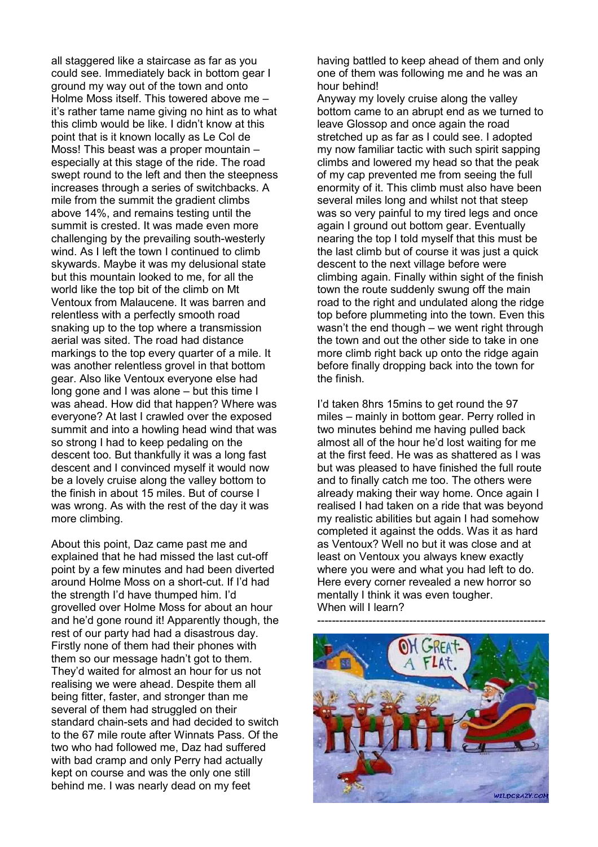all staggered like a staircase as far as you could see. Immediately back in bottom gear I ground my way out of the town and onto Holme Moss itself. This towered above me – it's rather tame name giving no hint as to what this climb would be like. I didn't know at this point that is it known locally as Le Col de Moss! This beast was a proper mountain – especially at this stage of the ride. The road swept round to the left and then the steepness increases through a series of switchbacks. A mile from the summit the gradient climbs above 14%, and remains testing until the summit is crested. It was made even more challenging by the prevailing south-westerly wind. As I left the town I continued to climb skywards. Maybe it was my delusional state but this mountain looked to me, for all the world like the top bit of the climb on Mt Ventoux from Malaucene. It was barren and relentless with a perfectly smooth road snaking up to the top where a transmission aerial was sited. The road had distance markings to the top every quarter of a mile. It was another relentless grovel in that bottom gear. Also like Ventoux everyone else had long gone and I was alone – but this time I was ahead. How did that happen? Where was everyone? At last I crawled over the exposed summit and into a howling head wind that was so strong I had to keep pedaling on the descent too. But thankfully it was a long fast descent and I convinced myself it would now be a lovely cruise along the valley bottom to the finish in about 15 miles. But of course I was wrong. As with the rest of the day it was more climbing.

About this point, Daz came past me and explained that he had missed the last cut-off point by a few minutes and had been diverted around Holme Moss on a short-cut. If I'd had the strength I'd have thumped him. I'd grovelled over Holme Moss for about an hour and he'd gone round it! Apparently though, the rest of our party had had a disastrous day. Firstly none of them had their phones with them so our message hadn't got to them. They'd waited for almost an hour for us not realising we were ahead. Despite them all being fitter, faster, and stronger than me several of them had struggled on their standard chain-sets and had decided to switch to the 67 mile route after Winnats Pass. Of the two who had followed me, Daz had suffered with bad cramp and only Perry had actually kept on course and was the only one still behind me. I was nearly dead on my feet

having battled to keep ahead of them and only one of them was following me and he was an hour behind!

Anyway my lovely cruise along the valley bottom came to an abrupt end as we turned to leave Glossop and once again the road stretched up as far as I could see. I adopted my now familiar tactic with such spirit sapping climbs and lowered my head so that the peak of my cap prevented me from seeing the full enormity of it. This climb must also have been several miles long and whilst not that steep was so very painful to my tired legs and once again I ground out bottom gear. Eventually nearing the top I told myself that this must be the last climb but of course it was just a quick descent to the next village before were climbing again. Finally within sight of the finish town the route suddenly swung off the main road to the right and undulated along the ridge top before plummeting into the town. Even this wasn't the end though – we went right through the town and out the other side to take in one more climb right back up onto the ridge again before finally dropping back into the town for the finish.

I'd taken 8hrs 15mins to get round the 97 miles – mainly in bottom gear. Perry rolled in two minutes behind me having pulled back almost all of the hour he'd lost waiting for me at the first feed. He was as shattered as I was but was pleased to have finished the full route and to finally catch me too. The others were already making their way home. Once again I realised I had taken on a ride that was beyond my realistic abilities but again I had somehow completed it against the odds. Was it as hard as Ventoux? Well no but it was close and at least on Ventoux you always knew exactly where you were and what you had left to do. Here every corner revealed a new horror so mentally I think it was even tougher. When will I learn?